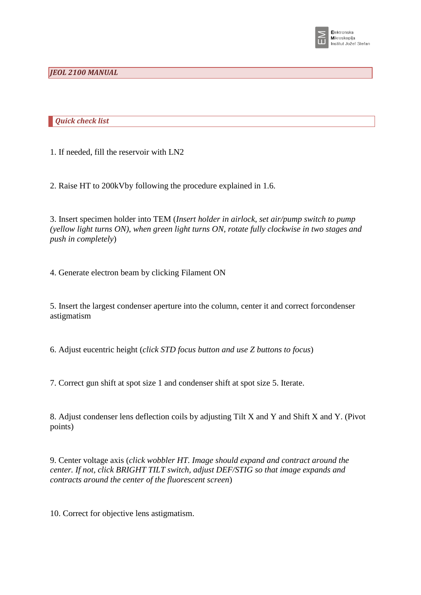

## *JEOL 2100 MANUAL*

*Quick check list* 

1. If needed, fill the reservoir with LN2

2. Raise HT to 200kVby following the procedure explained in 1.6.

3. Insert specimen holder into TEM (*Insert holder in airlock, set air/pump switch to pump (yellow light turns ON), when green light turns ON, rotate fully clockwise in two stages and push in completely*)

4. Generate electron beam by clicking Filament ON

5. Insert the largest condenser aperture into the column, center it and correct forcondenser astigmatism

6. Adjust eucentric height (*click STD focus button and use Z buttons to focus*)

7. Correct gun shift at spot size 1 and condenser shift at spot size 5. Iterate.

8. Adjust condenser lens deflection coils by adjusting Tilt X and Y and Shift X and Y. (Pivot points)

9. Center voltage axis (*click wobbler HT. Image should expand and contract around the center. If not, click BRIGHT TILT switch, adjust DEF/STIG so that image expands and contracts around the center of the fluorescent screen*)

10. Correct for objective lens astigmatism.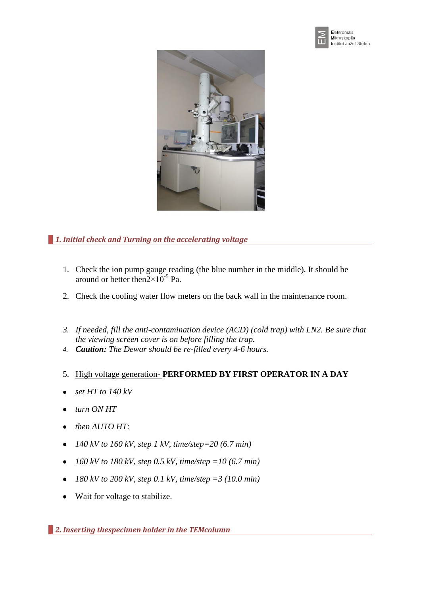



*1. Initial check and Turning on the accelerating voltage*

- 1. Check the ion pump gauge reading (the blue number in the middle). It should be around or better then $2 \times 10^{-5}$  Pa.
- 2. Check the cooling water flow meters on the back wall in the maintenance room.
- *3. If needed, fill the anti-contamination device (ACD) (cold trap) with LN2. Be sure that the viewing screen cover is on before filling the trap.*
- *4. Caution: The Dewar should be re-filled every 4-6 hours.*
- 5. High voltage generation- **PERFORMED BY FIRST OPERATOR IN A DAY**
- *set HT to 140 kV*
- *turn ON HT*
- *then AUTO HT:*  $\bullet$
- *140 kV to 160 kV, step 1 kV, time/step=20 (6.7 min)*
- *160 kV to 180 kV, step 0.5 kV, time/step =10 (6.7 min)*  $\bullet$
- *180 kV to 200 kV, step 0.1 kV, time/step =3 (10.0 min)*  $\bullet$
- Wait for voltage to stabilize.  $\bullet$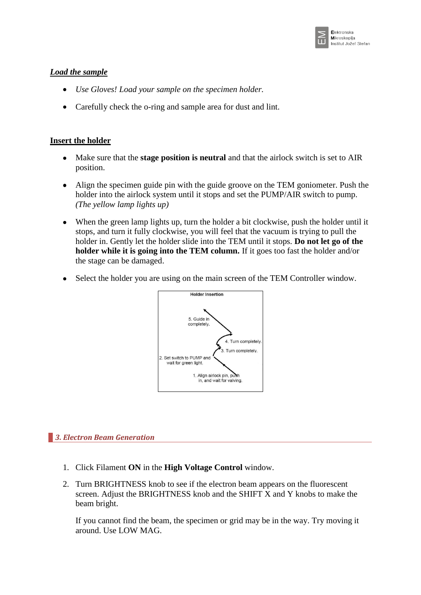

# *Load the sample*

- *Use Gloves! Load your sample on the specimen holder.*
- Carefully check the o-ring and sample area for dust and lint.  $\bullet$

# **Insert the holder**

- Make sure that the **stage position is neutral** and that the airlock switch is set to AIR position.
- $\bullet$ Align the specimen guide pin with the guide groove on the TEM goniometer. Push the holder into the airlock system until it stops and set the PUMP/AIR switch to pump. *(The yellow lamp lights up)*
- When the green lamp lights up, turn the holder a bit clockwise, push the holder until it  $\bullet$ stops, and turn it fully clockwise, you will feel that the vacuum is trying to pull the holder in. Gently let the holder slide into the TEM until it stops. **Do not let go of the holder while it is going into the TEM column.** If it goes too fast the holder and/or the stage can be damaged.
- Select the holder you are using on the main screen of the TEM Controller window.  $\bullet$



# *3. Electron Beam Generation*

- 1. Click Filament **ON** in the **High Voltage Control** window.
- 2. Turn BRIGHTNESS knob to see if the electron beam appears on the fluorescent screen. Adjust the BRIGHTNESS knob and the SHIFT X and Y knobs to make the beam bright.

If you cannot find the beam, the specimen or grid may be in the way. Try moving it around. Use LOW MAG.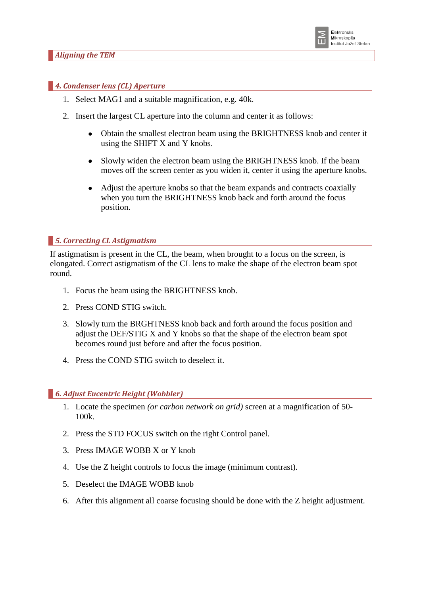

#### *4. Condenser lens (CL) Aperture*

- 1. Select MAG1 and a suitable magnification, e.g. 40k.
- 2. Insert the largest CL aperture into the column and center it as follows:
	- Obtain the smallest electron beam using the BRIGHTNESS knob and center it  $\bullet$ using the SHIFT X and Y knobs.
	- $\bullet$ Slowly widen the electron beam using the BRIGHTNESS knob. If the beam moves off the screen center as you widen it, center it using the aperture knobs.
	- $\bullet$ Adjust the aperture knobs so that the beam expands and contracts coaxially when you turn the BRIGHTNESS knob back and forth around the focus position.

#### *5. Correcting CL Astigmatism*

If astigmatism is present in the CL, the beam, when brought to a focus on the screen, is elongated. Correct astigmatism of the CL lens to make the shape of the electron beam spot round.

- 1. Focus the beam using the BRIGHTNESS knob.
- 2. Press COND STIG switch.
- 3. Slowly turn the BRGHTNESS knob back and forth around the focus position and adjust the DEF/STIG X and Y knobs so that the shape of the electron beam spot becomes round just before and after the focus position.
- 4. Press the COND STIG switch to deselect it.

#### *6. Adjust Eucentric Height (Wobbler)*

- 1. Locate the specimen *(or carbon network on grid)* screen at a magnification of 50- 100k.
- 2. Press the STD FOCUS switch on the right Control panel.
- 3. Press IMAGE WOBB X or Y knob
- 4. Use the Z height controls to focus the image (minimum contrast).
- 5. Deselect the IMAGE WOBB knob
- 6. After this alignment all coarse focusing should be done with the Z height adjustment.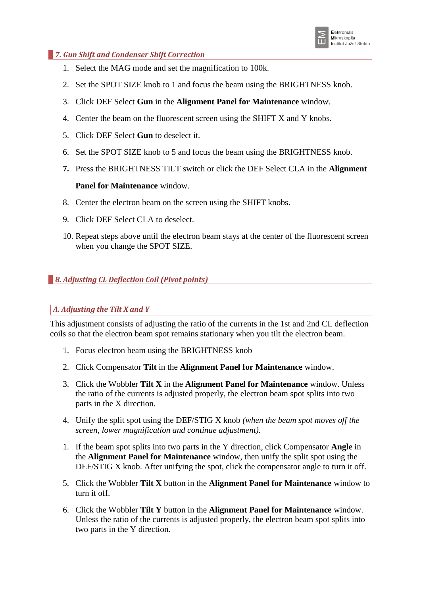

## *7. Gun Shift and Condenser Shift Correction*

- 1. Select the MAG mode and set the magnification to 100k.
- 2. Set the SPOT SIZE knob to 1 and focus the beam using the BRIGHTNESS knob.
- 3. Click DEF Select **Gun** in the **Alignment Panel for Maintenance** window.
- 4. Center the beam on the fluorescent screen using the SHIFT X and Y knobs.
- 5. Click DEF Select **Gun** to deselect it.
- 6. Set the SPOT SIZE knob to 5 and focus the beam using the BRIGHTNESS knob.
- **7.** Press the BRIGHTNESS TILT switch or click the DEF Select CLA in the **Alignment**

# **Panel for Maintenance** window.

- 8. Center the electron beam on the screen using the SHIFT knobs.
- 9. Click DEF Select CLA to deselect.
- 10. Repeat steps above until the electron beam stays at the center of the fluorescent screen when you change the SPOT SIZE.

# *8. Adjusting CL Deflection Coil (Pivot points)*

# *A. Adjusting the Tilt X and Y*

This adjustment consists of adjusting the ratio of the currents in the 1st and 2nd CL deflection coils so that the electron beam spot remains stationary when you tilt the electron beam.

- 1. Focus electron beam using the BRIGHTNESS knob
- 2. Click Compensator **Tilt** in the **Alignment Panel for Maintenance** window.
- 3. Click the Wobbler **Tilt X** in the **Alignment Panel for Maintenance** window. Unless the ratio of the currents is adjusted properly, the electron beam spot splits into two parts in the X direction.
- 4. Unify the split spot using the DEF/STIG X knob *(when the beam spot moves off the screen, lower magnification and continue adjustment).*
- 1. If the beam spot splits into two parts in the Y direction, click Compensator **Angle** in the **Alignment Panel for Maintenance** window, then unify the split spot using the DEF/STIG X knob. After unifying the spot, click the compensator angle to turn it off.
- 5. Click the Wobbler **Tilt X** button in the **Alignment Panel for Maintenance** window to turn it off.
- 6. Click the Wobbler **Tilt Y** button in the **Alignment Panel for Maintenance** window. Unless the ratio of the currents is adjusted properly, the electron beam spot splits into two parts in the Y direction.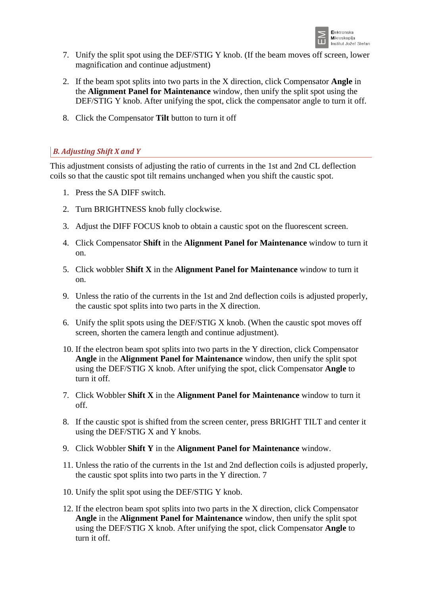

- 7. Unify the split spot using the DEF/STIG Y knob. (If the beam moves off screen, lower magnification and continue adjustment)
- 2. If the beam spot splits into two parts in the X direction, click Compensator **Angle** in the **Alignment Panel for Maintenance** window, then unify the split spot using the DEF/STIG Y knob. After unifying the spot, click the compensator angle to turn it off.
- 8. Click the Compensator **Tilt** button to turn it off

# *B. Adjusting Shift X and Y*

This adjustment consists of adjusting the ratio of currents in the 1st and 2nd CL deflection coils so that the caustic spot tilt remains unchanged when you shift the caustic spot.

- 1. Press the SA DIFF switch.
- 2. Turn BRIGHTNESS knob fully clockwise.
- 3. Adjust the DIFF FOCUS knob to obtain a caustic spot on the fluorescent screen.
- 4. Click Compensator **Shift** in the **Alignment Panel for Maintenance** window to turn it on.
- 5. Click wobbler **Shift X** in the **Alignment Panel for Maintenance** window to turn it on.
- 9. Unless the ratio of the currents in the 1st and 2nd deflection coils is adjusted properly, the caustic spot splits into two parts in the X direction.
- 6. Unify the split spots using the DEF/STIG X knob. (When the caustic spot moves off screen, shorten the camera length and continue adjustment).
- 10. If the electron beam spot splits into two parts in the Y direction, click Compensator **Angle** in the **Alignment Panel for Maintenance** window, then unify the split spot using the DEF/STIG X knob. After unifying the spot, click Compensator **Angle** to turn it off.
- 7. Click Wobbler **Shift X** in the **Alignment Panel for Maintenance** window to turn it off.
- 8. If the caustic spot is shifted from the screen center, press BRIGHT TILT and center it using the DEF/STIG X and Y knobs.
- 9. Click Wobbler **Shift Y** in the **Alignment Panel for Maintenance** window.
- 11. Unless the ratio of the currents in the 1st and 2nd deflection coils is adjusted properly, the caustic spot splits into two parts in the Y direction. 7
- 10. Unify the split spot using the DEF/STIG Y knob.
- 12. If the electron beam spot splits into two parts in the X direction, click Compensator **Angle** in the **Alignment Panel for Maintenance** window, then unify the split spot using the DEF/STIG X knob. After unifying the spot, click Compensator **Angle** to turn it off.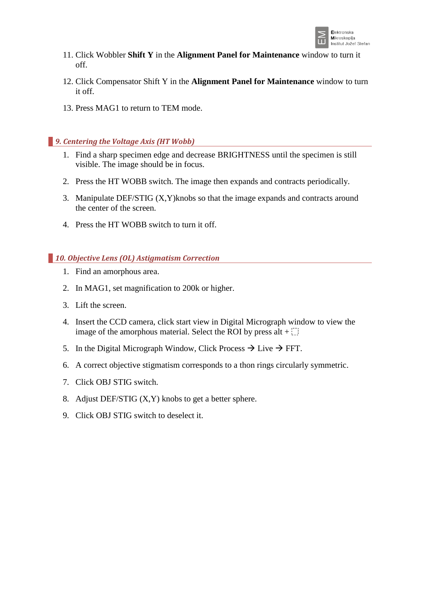

- 11. Click Wobbler **Shift Y** in the **Alignment Panel for Maintenance** window to turn it off.
- 12. Click Compensator Shift Y in the **Alignment Panel for Maintenance** window to turn it off.
- 13. Press MAG1 to return to TEM mode.

### *9. Centering the Voltage Axis (HT Wobb)*

- 1. Find a sharp specimen edge and decrease BRIGHTNESS until the specimen is still visible. The image should be in focus.
- 2. Press the HT WOBB switch. The image then expands and contracts periodically.
- 3. Manipulate DEF/STIG (X,Y)knobs so that the image expands and contracts around the center of the screen.
- 4. Press the HT WOBB switch to turn it off.

# *10. Objective Lens (OL) Astigmatism Correction*

- 1. Find an amorphous area.
- 2. In MAG1, set magnification to 200k or higher.
- 3. Lift the screen.
- 4. Insert the CCD camera, click start view in Digital Micrograph window to view the image of the amorphous material. Select the ROI by press alt  $+$ .
- 5. In the Digital Micrograph Window, Click Process  $\rightarrow$  Live  $\rightarrow$  FFT.
- 6. A correct objective stigmatism corresponds to a thon rings circularly symmetric.
- 7. Click OBJ STIG switch.
- 8. Adjust DEF/STIG (X,Y) knobs to get a better sphere.
- 9. Click OBJ STIG switch to deselect it.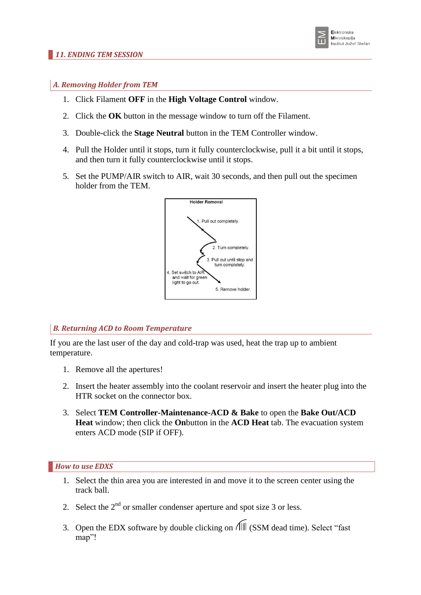

## *A. Removing Holder from TEM*

- 1. Click Filament **OFF** in the **High Voltage Control** window.
- 2. Click the **OK** button in the message window to turn off the Filament.
- 3. Double-click the **Stage Neutral** button in the TEM Controller window.
- 4. Pull the Holder until it stops, turn it fully counterclockwise, pull it a bit until it stops, and then turn it fully counterclockwise until it stops.
- 5. Set the PUMP/AIR switch to AIR, wait 30 seconds, and then pull out the specimen holder from the TEM.



# *B. Returning ACD to Room Temperature*

If you are the last user of the day and cold-trap was used, heat the trap up to ambient temperature.

- 1. Remove all the apertures!
- 2. Insert the heater assembly into the coolant reservoir and insert the heater plug into the HTR socket on the connector box.
- 3. Select **TEM Controller-Maintenance-ACD & Bake** to open the **Bake Out/ACD Heat** window; then click the **On**button in the **ACD Heat** tab. The evacuation system enters ACD mode (SIP if OFF).

*How to use EDXS*

- 1. Select the thin area you are interested in and move it to the screen center using the track ball.
- 2. Select the  $2<sup>nd</sup>$  or smaller condenser aperture and spot size 3 or less.
- 3. Open the EDX software by double clicking on  $\sqrt{2}$  (SSM dead time). Select "fast map"!